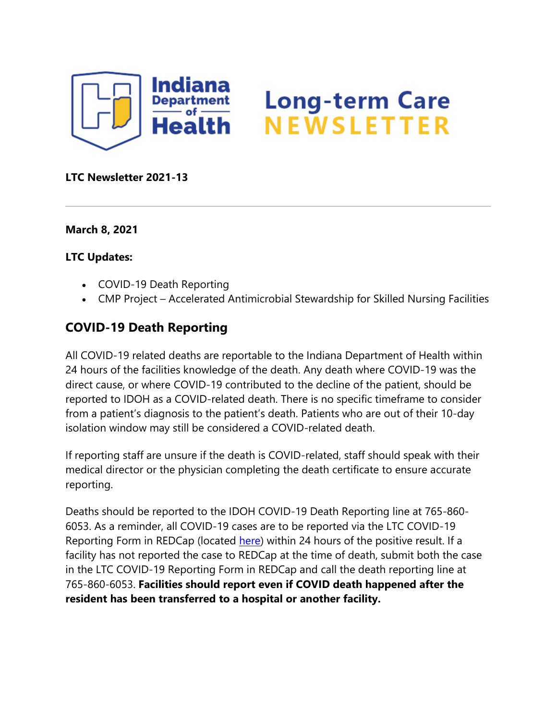

# **Long-term Care** NEWSLETTER

#### **LTC Newsletter 2021-13**

**March 8, 2021**

#### **LTC Updates:**

- COVID-19 Death Reporting
- CMP Project Accelerated Antimicrobial Stewardship for Skilled Nursing Facilities

### **COVID-19 Death Reporting**

All COVID-19 related deaths are reportable to the Indiana Department of Health within 24 hours of the facilities knowledge of the death. Any death where COVID-19 was the direct cause, or where COVID-19 contributed to the decline of the patient, should be reported to IDOH as a COVID-related death. There is no specific timeframe to consider from a patient's diagnosis to the patient's death. Patients who are out of their 10-day isolation window may still be considered a COVID-related death.

If reporting staff are unsure if the death is COVID-related, staff should speak with their medical director or the physician completing the death certificate to ensure accurate reporting.

Deaths should be reported to the IDOH COVID-19 Death Reporting line at 765-860- 6053. As a reminder, all COVID-19 cases are to be reported via the LTC COVID-19 Reporting Form in REDCap (located [here\)](https://protect2.fireeye.com/v1/url?k=afb10e4e-f02a3758-afb5474e-8681d5b5fa8e-d460dc6d0397eeef&q=1&e=4eceb7b7-e19c-445f-b123-aaa4b0b7fa98&u=https%3A%2F%2Flnks.gd%2Fl%2FeyJhbGciOiJIUzI1NiJ9.eyJidWxsZXRpbl9saW5rX2lkIjoxMDAsInVyaSI6ImJwMjpjbGljayIsImJ1bGxldGluX2lkIjoiMjAyMTAzMDguMzY1NzEwMzEiLCJ1cmwiOiJodHRwczovL3JlZGNhcC5pc2RoLmluLmdvdi9zdXJ2ZXlzLz9zPVRKUERZVFJIVDkifQ.r_uVpF2dv6W8h2u53rVmhJxSq2uviPPa-6sAv5oBolw%2Fs%2F1439130268%2Fbr%2F99589087625-l) within 24 hours of the positive result. If a facility has not reported the case to REDCap at the time of death, submit both the case in the LTC COVID-19 Reporting Form in REDCap and call the death reporting line at 765-860-6053. **Facilities should report even if COVID death happened after the resident has been transferred to a hospital or another facility.**